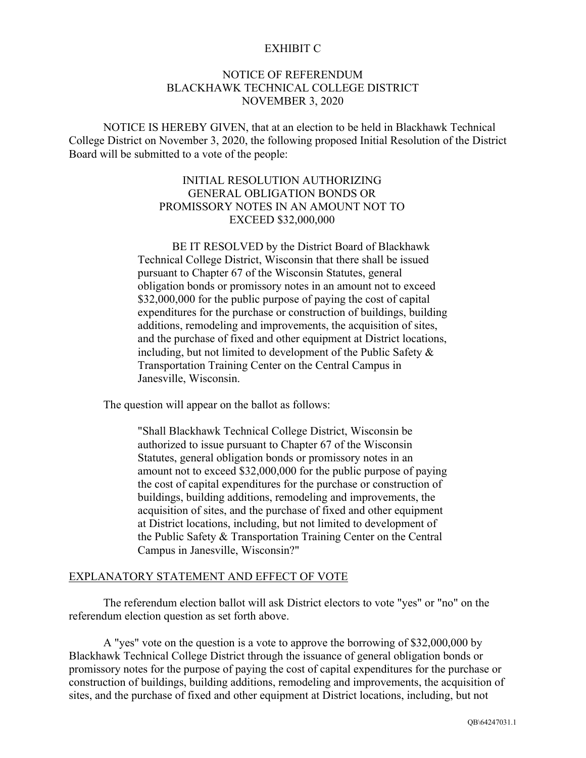## EXHIBIT C

## NOTICE OF REFERENDUM BLACKHAWK TECHNICAL COLLEGE DISTRICT NOVEMBER 3, 2020

NOTICE IS HEREBY GIVEN, that at an election to be held in Blackhawk Technical College District on November 3, 2020, the following proposed Initial Resolution of the District Board will be submitted to a vote of the people:

## INITIAL RESOLUTION AUTHORIZING GENERAL OBLIGATION BONDS OR PROMISSORY NOTES IN AN AMOUNT NOT TO EXCEED \$32,000,000

BE IT RESOLVED by the District Board of Blackhawk Technical College District, Wisconsin that there shall be issued pursuant to Chapter 67 of the Wisconsin Statutes, general obligation bonds or promissory notes in an amount not to exceed \$32,000,000 for the public purpose of paying the cost of capital expenditures for the purchase or construction of buildings, building additions, remodeling and improvements, the acquisition of sites, and the purchase of fixed and other equipment at District locations, including, but not limited to development of the Public Safety & Transportation Training Center on the Central Campus in Janesville, Wisconsin.

The question will appear on the ballot as follows:

"Shall Blackhawk Technical College District, Wisconsin be authorized to issue pursuant to Chapter 67 of the Wisconsin Statutes, general obligation bonds or promissory notes in an amount not to exceed \$32,000,000 for the public purpose of paying the cost of capital expenditures for the purchase or construction of buildings, building additions, remodeling and improvements, the acquisition of sites, and the purchase of fixed and other equipment at District locations, including, but not limited to development of the Public Safety & Transportation Training Center on the Central Campus in Janesville, Wisconsin?"

## EXPLANATORY STATEMENT AND EFFECT OF VOTE

The referendum election ballot will ask District electors to vote "yes" or "no" on the referendum election question as set forth above.

A "yes" vote on the question is a vote to approve the borrowing of \$32,000,000 by Blackhawk Technical College District through the issuance of general obligation bonds or promissory notes for the purpose of paying the cost of capital expenditures for the purchase or construction of buildings, building additions, remodeling and improvements, the acquisition of sites, and the purchase of fixed and other equipment at District locations, including, but not